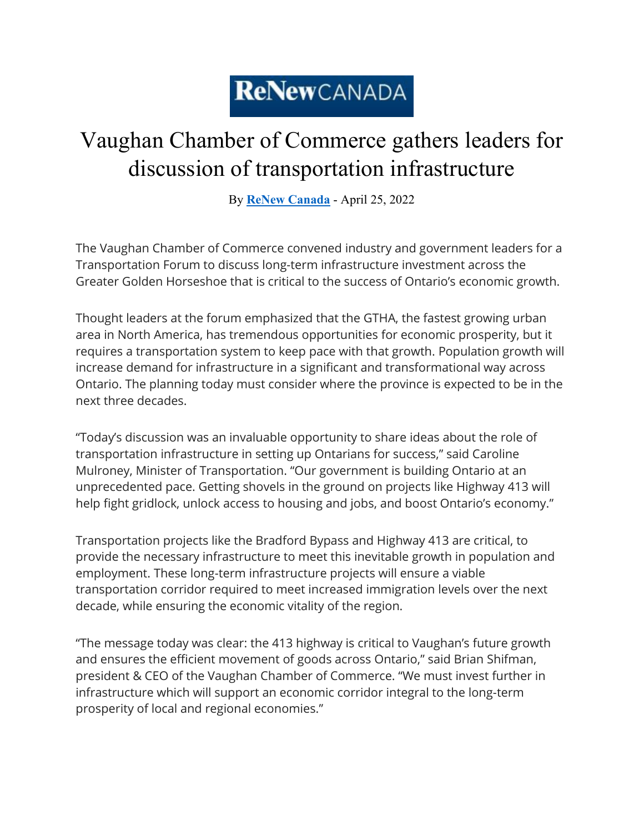## ReNewCANADA

## Vaughan Chamber of Commerce gathers leaders for discussion of transportation infrastructure

By **[ReNew Canada](https://www.renewcanada.net/5000091407-2/)** - April 25, 2022

The Vaughan Chamber of Commerce convened industry and government leaders for a Transportation Forum to discuss long-term infrastructure investment across the Greater Golden Horseshoe that is critical to the success of Ontario's economic growth.

Thought leaders at the forum emphasized that the GTHA, the fastest growing urban area in North America, has tremendous opportunities for economic prosperity, but it requires a transportation system to keep pace with that growth. Population growth will increase demand for infrastructure in a significant and transformational way across Ontario. The planning today must consider where the province is expected to be in the next three decades.

"Today's discussion was an invaluable opportunity to share ideas about the role of transportation infrastructure in setting up Ontarians for success," said Caroline Mulroney, Minister of Transportation. "Our government is building Ontario at an unprecedented pace. Getting shovels in the ground on projects like Highway 413 will help fight gridlock, unlock access to housing and jobs, and boost Ontario's economy."

Transportation projects like the Bradford Bypass and Highway 413 are critical, to provide the necessary infrastructure to meet this inevitable growth in population and employment. These long-term infrastructure projects will ensure a viable transportation corridor required to meet increased immigration levels over the next decade, while ensuring the economic vitality of the region.

"The message today was clear: the 413 highway is critical to Vaughan's future growth and ensures the efficient movement of goods across Ontario," said Brian Shifman, president & CEO of the Vaughan Chamber of Commerce. "We must invest further in infrastructure which will support an economic corridor integral to the long-term prosperity of local and regional economies."